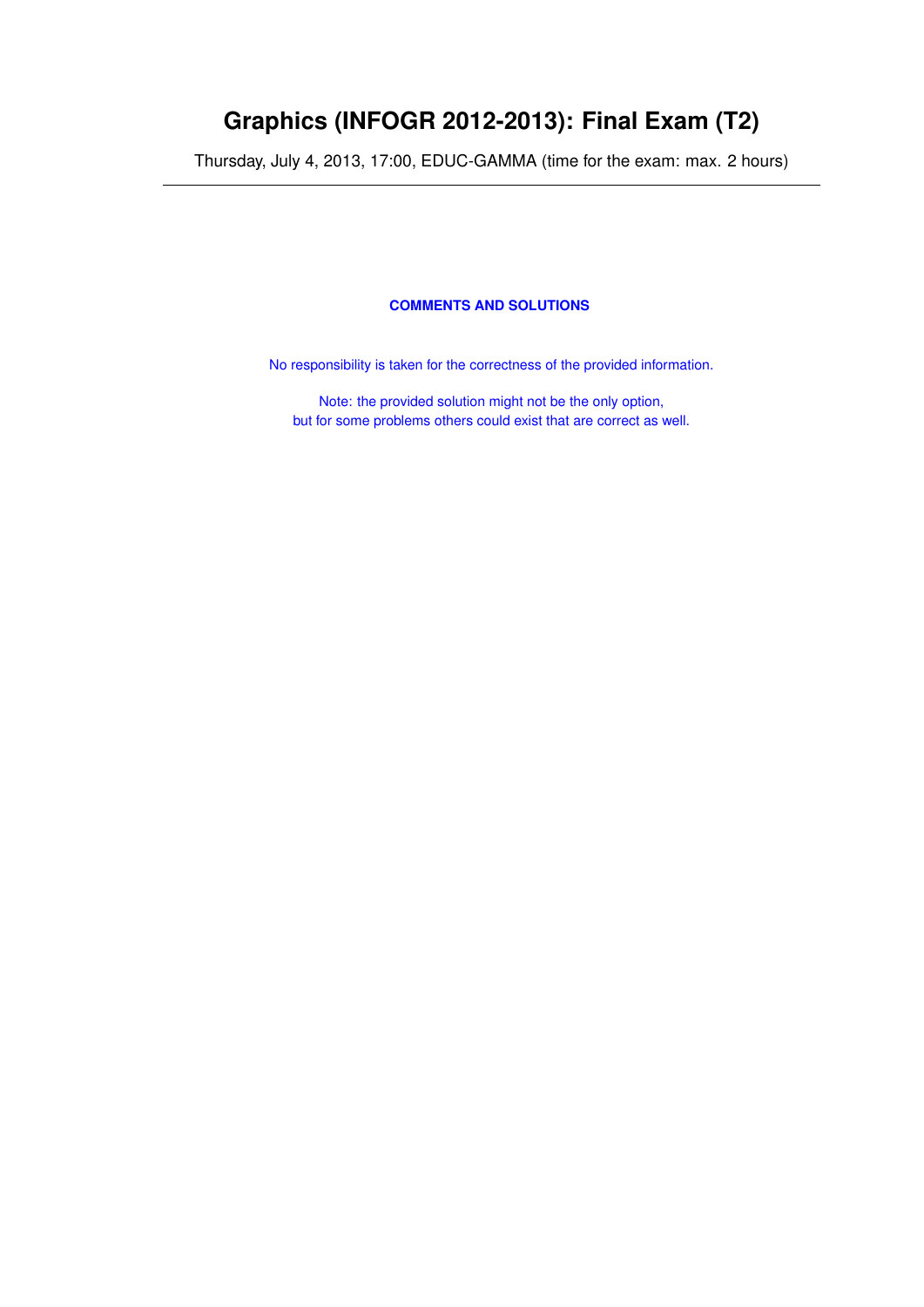# **Graphics (INFOGR 2012-2013): Final Exam (T2)**

Thursday, July 4, 2013, 17:00, EDUC-GAMMA (time for the exam: max. 2 hours)

# **COMMENTS AND SOLUTIONS**

No responsibility is taken for the correctness of the provided information.

Note: the provided solution might not be the only option, but for some problems others could exist that are correct as well.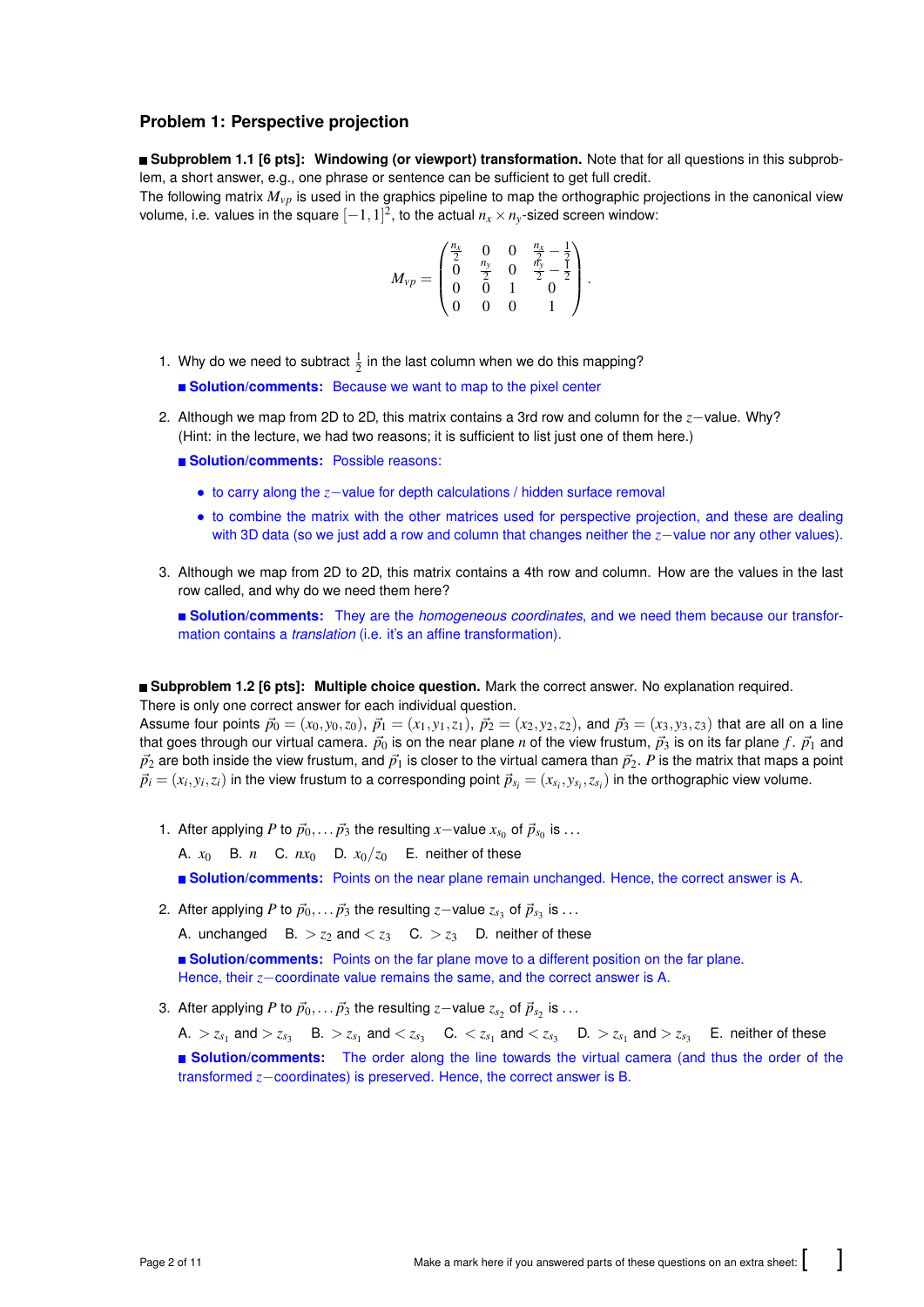# **Problem 1: Perspective projection**

**Subproblem 1.1 [6 pts]: Windowing (or viewport) transformation.** Note that for all questions in this subproblem, a short answer, e.g., one phrase or sentence can be sufficient to get full credit.

The following matrix *Mvp* is used in the graphics pipeline to map the orthographic projections in the canonical view volume, i.e. values in the square  $[-1,1]^2$ , to the actual  $n_x \times n_y$ -sized screen window:

$$
M_{vp} = \begin{pmatrix} \frac{n_x}{2} & 0 & 0 & \frac{n_x}{2} - \frac{1}{2} \\ 0 & \frac{n_y}{2} & 0 & \frac{n_y}{2} - \frac{1}{2} \\ 0 & 0 & 1 & 0 \\ 0 & 0 & 0 & 1 \end{pmatrix}.
$$

1. Why do we need to subtract  $\frac{1}{2}$  in the last column when we do this mapping?

**Solution/comments:** Because we want to map to the pixel center

- 2. Although we map from 2D to 2D, this matrix contains a 3rd row and column for the *z*−value. Why? (Hint: in the lecture, we had two reasons; it is sufficient to list just one of them here.)
	- **Solution/comments:** Possible reasons:
		- to carry along the *z*−value for depth calculations / hidden surface removal
		- to combine the matrix with the other matrices used for perspective projection, and these are dealing with 3D data (so we just add a row and column that changes neither the *z*−value nor any other values).
- 3. Although we map from 2D to 2D, this matrix contains a 4th row and column. How are the values in the last row called, and why do we need them here?

**Solution/comments:** They are the *homogeneous coordinates*, and we need them because our transformation contains a *translation* (i.e. it's an affine transformation).

**Subproblem 1.2 [6 pts]: Multiple choice question.** Mark the correct answer. No explanation required.

There is only one correct answer for each individual question. Assume four points  $\vec{p}_0 = (x_0, y_0, z_0), \vec{p}_1 = (x_1, y_1, z_1), \vec{p}_2 = (x_2, y_2, z_2),$  and  $\vec{p}_3 = (x_3, y_3, z_3)$  that are all on a line that goes through our virtual camera.  $\vec{p}_0$  is on the near plane *n* of the view frustum,  $\vec{p}_3$  is on its far plane *f*.  $\vec{p}_1$  and  $\vec{p}_2$  are both inside the view frustum, and  $\vec{p}_1$  is closer to the virtual camera than  $\vec{p}_2$ . P is the matrix that maps a point  $\vec{p}_i=(x_i,y_i,z_i)$  in the view frustum to a corresponding point  $\vec{p}_{s_i}=(x_{s_i},y_{s_i},z_{s_i})$  in the orthographic view volume.

1. After applying *P* to  $\vec{p}_0, \ldots, \vec{p}_3$  the resulting *x*−value  $x_{s_0}$  of  $\vec{p}_{s_0}$  is ...

A.  $x_0$  B. *n* C.  $nx_0$  D.  $x_0/z_0$  E. neither of these

**Solution/comments:** Points on the near plane remain unchanged. Hence, the correct answer is A.

2. After applying  $P$  to  $\vec{p}_0,\ldots\vec{p}_3$  the resulting  $z-$ value  $z_{s_3}$  of  $\vec{p}_{s_3}$  is  $\ldots$ 

A. unchanged B.  $> z_2$  and  $< z_3$  C.  $> z_3$  D. neither of these

**Solution/comments:** Points on the far plane move to a different position on the far plane. Hence, their *z*−coordinate value remains the same, and the correct answer is A.

3. After applying  $P$  to  $\vec{p}_0, \ldots \vec{p}_3$  the resulting *z*−value  $z_{s_2}$  of  $\vec{p}_{s_2}$  is  $\ldots$ 

 $\mathsf{A.} > z_{s_1}$  and  $> z_{s_3}$  B.  $> z_{s_1}$  and  $< z_{s_3}$  C.  $< z_{s_1}$  and  $< z_{s_3}$  D.  $> z_{s_1}$  and  $> z_{s_3}$  E. neither of these **Solution/comments:** The order along the line towards the virtual camera (and thus the order of the transformed *z*−coordinates) is preserved. Hence, the correct answer is B.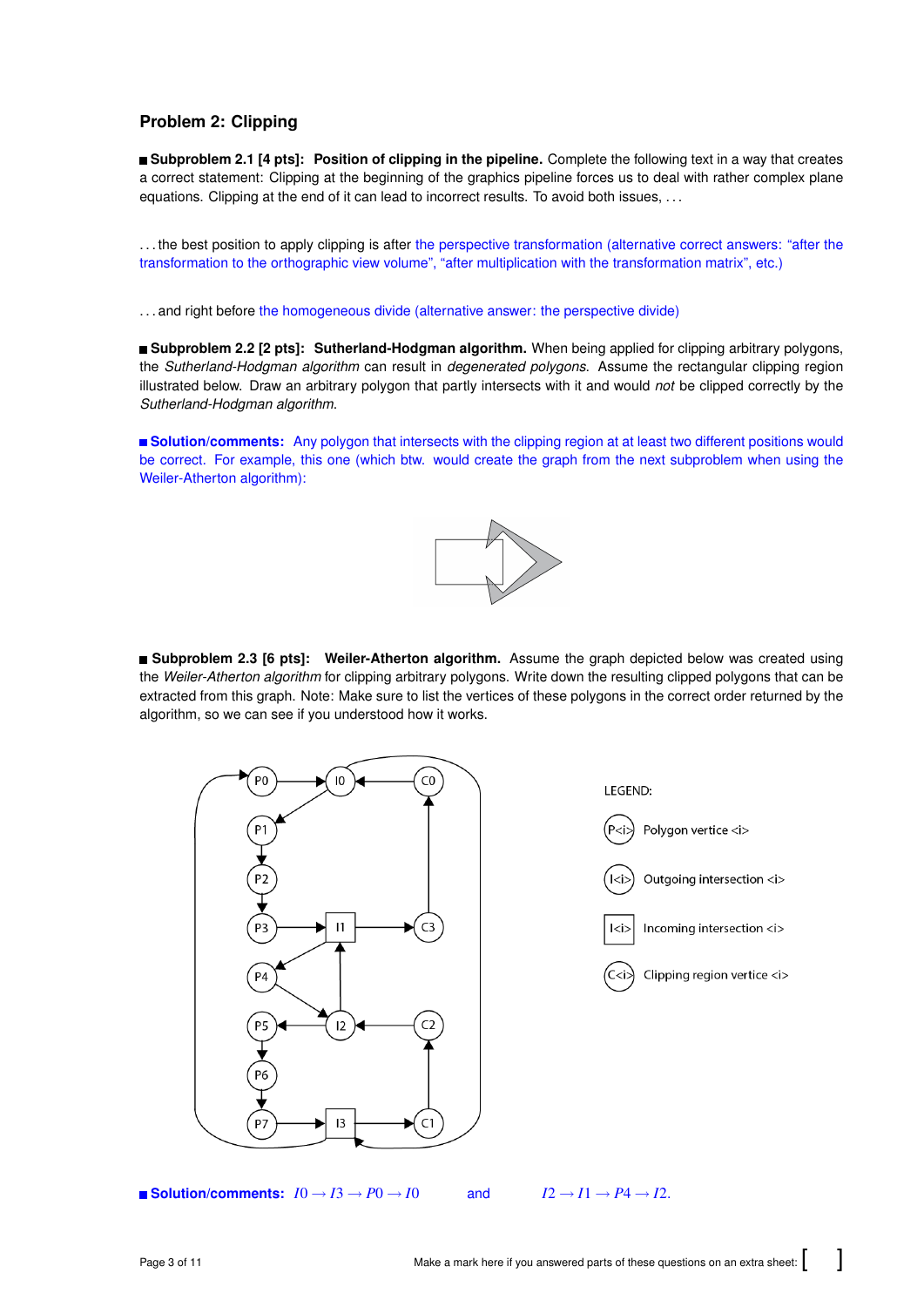# **Problem 2: Clipping**

**Subproblem 2.1 [4 pts]: Position of clipping in the pipeline.** Complete the following text in a way that creates a correct statement: Clipping at the beginning of the graphics pipeline forces us to deal with rather complex plane equations. Clipping at the end of it can lead to incorrect results. To avoid both issues, ...

. . . the best position to apply clipping is after the perspective transformation (alternative correct answers: "after the transformation to the orthographic view volume", "after multiplication with the transformation matrix", etc.)

. . . and right before the homogeneous divide (alternative answer: the perspective divide)

**Subproblem 2.2 [2 pts]: Sutherland-Hodgman algorithm.** When being applied for clipping arbitrary polygons, the *Sutherland-Hodgman algorithm* can result in *degenerated polygons*. Assume the rectangular clipping region illustrated below. Draw an arbitrary polygon that partly intersects with it and would *not* be clipped correctly by the *Sutherland-Hodgman algorithm*.

**Solution/comments:** Any polygon that intersects with the clipping region at at least two different positions would be correct. For example, this one (which btw. would create the graph from the next subproblem when using the Weiler-Atherton algorithm):



**Subproblem 2.3 [6 pts]: Weiler-Atherton algorithm.** Assume the graph depicted below was created using the *Weiler-Atherton algorithm* for clipping arbitrary polygons. Write down the resulting clipped polygons that can be extracted from this graph. Note: Make sure to list the vertices of these polygons in the correct order returned by the algorithm, so we can see if you understood how it works.

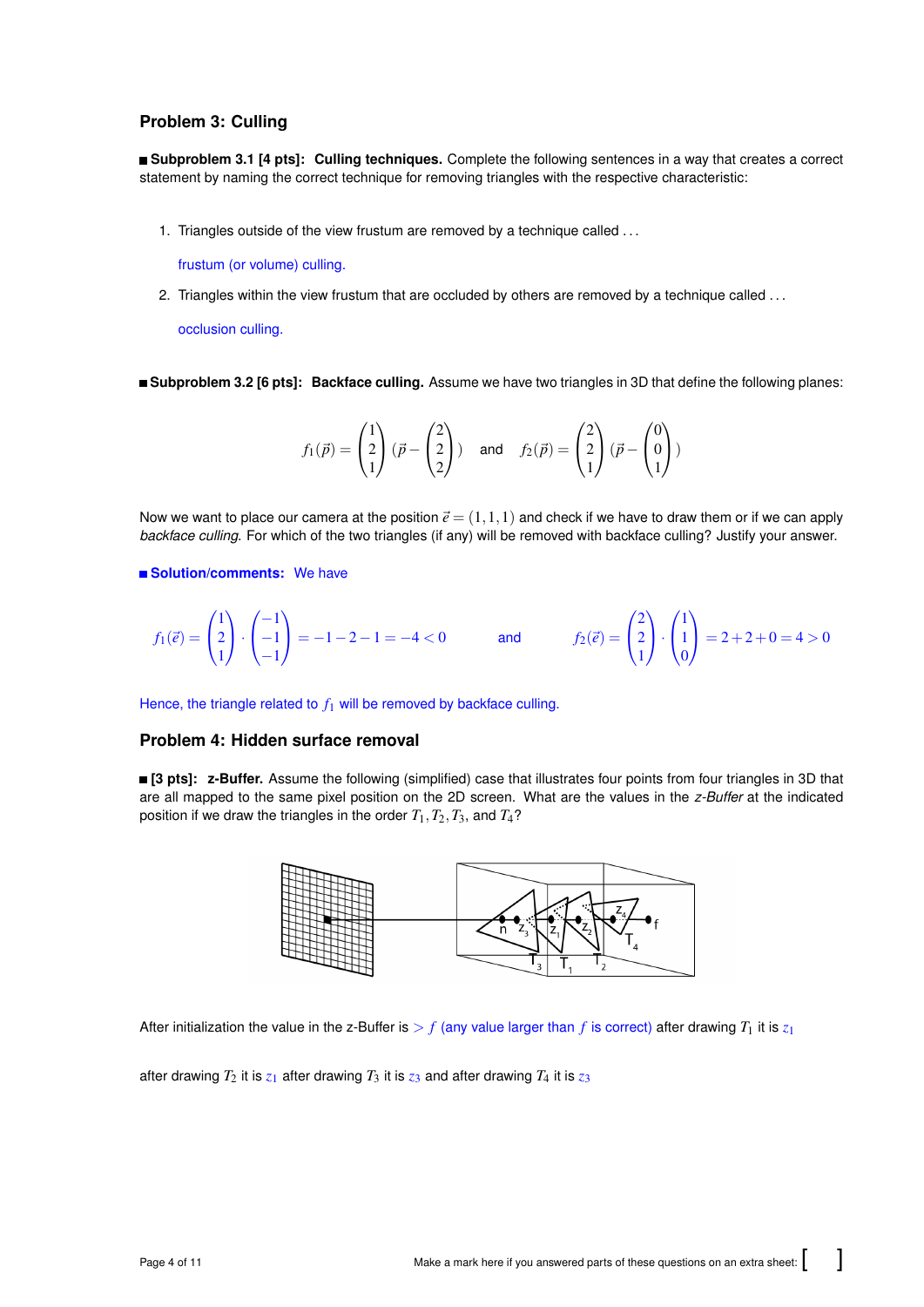# **Problem 3: Culling**

**Subproblem 3.1 [4 pts]: Culling techniques.** Complete the following sentences in a way that creates a correct statement by naming the correct technique for removing triangles with the respective characteristic:

1. Triangles outside of the view frustum are removed by a technique called ...

frustum (or volume) culling.

2. Triangles within the view frustum that are occluded by others are removed by a technique called ...

occlusion culling.

**Subproblem 3.2 [6 pts]: Backface culling.** Assume we have two triangles in 3D that define the following planes:

$$
f_1(\vec{p}) = \begin{pmatrix} 1 \\ 2 \\ 1 \end{pmatrix} (\vec{p} - \begin{pmatrix} 2 \\ 2 \\ 2 \end{pmatrix}) \quad \text{and} \quad f_2(\vec{p}) = \begin{pmatrix} 2 \\ 2 \\ 1 \end{pmatrix} (\vec{p} - \begin{pmatrix} 0 \\ 0 \\ 1 \end{pmatrix})
$$

Now we want to place our camera at the position  $\vec{e} = (1,1,1)$  and check if we have to draw them or if we can apply *backface culling*. For which of the two triangles (if any) will be removed with backface culling? Justify your answer.

#### **Solution/comments:** We have

$$
f_1(\vec{e}) = \begin{pmatrix} 1 \\ 2 \\ 1 \end{pmatrix} \cdot \begin{pmatrix} -1 \\ -1 \\ -1 \end{pmatrix} = -1 - 2 - 1 = -4 < 0 \quad \text{and} \quad f_2(\vec{e}) = \begin{pmatrix} 2 \\ 2 \\ 1 \end{pmatrix} \cdot \begin{pmatrix} 1 \\ 1 \\ 0 \end{pmatrix} = 2 + 2 + 0 = 4 > 0
$$

Hence, the triangle related to  $f_1$  will be removed by backface culling.

## **Problem 4: Hidden surface removal**

**[3 pts]: z-Buffer.** Assume the following (simplified) case that illustrates four points from four triangles in 3D that are all mapped to the same pixel position on the 2D screen. What are the values in the *z-Buffer* at the indicated position if we draw the triangles in the order  $T_1, T_2, T_3$ , and  $T_4$ ?



After initialization the value in the z-Buffer is  $> f$  (any value larger than f is correct) after drawing  $T_1$  it is  $z_1$ 

after drawing  $T_2$  it is  $z_1$  after drawing  $T_3$  it is  $z_3$  and after drawing  $T_4$  it is  $z_3$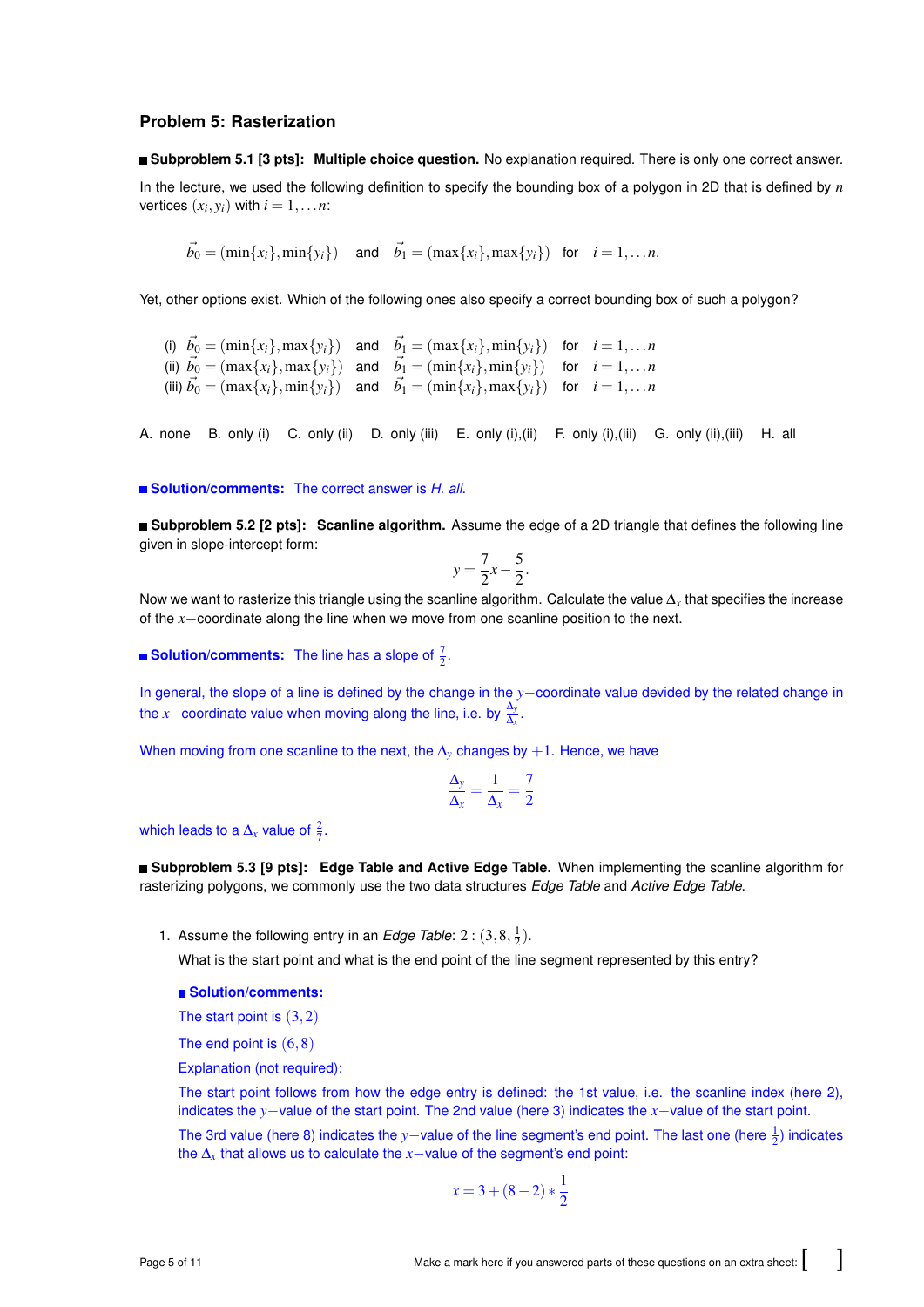#### **Problem 5: Rasterization**

**Subproblem 5.1 [3 pts]: Multiple choice question.** No explanation required. There is only one correct answer. In the lecture, we used the following definition to specify the bounding box of a polygon in 2D that is defined by *n* vertices  $(x_i, y_i)$  with  $i = 1, \ldots n$ :

 $\vec{b_0} = (\min\{x_i\}, \min\{y_i\})$  and  $\vec{b_1} = (\max\{x_i\}, \max\{y_i\})$  for  $i = 1, \ldots n$ .

Yet, other options exist. Which of the following ones also specify a correct bounding box of such a polygon?

(i)  $\vec{b_0} = (\min\{x_i\}, \max\{y_i\})$  and  $\vec{b_1} = (\max\{x_i\}, \min\{y_i\})$  for  $i = 1, \ldots n$ (ii)  $\vec{b}_0 = (\max\{x_i\}, \max\{y_i\})$  and  $\vec{b}_1 = (\min\{x_i\}, \min\{y_i\})$  for  $i = 1, \ldots n$ (iii)  $\vec{b_0} = (\max\{x_i\}, \min\{y_i\})$  and  $\vec{b_1} = (\min\{x_i\}, \max\{y_i\})$  for  $i = 1, \ldots n$ 

A. none B. only (i) C. only (ii) D. only (iii) E. only (i),(ii) F. only (i),(iii) G. only (ii),(iii) H. all

**Solution/comments:** The correct answer is *H. all*.

**Subproblem 5.2 [2 pts]: Scanline algorithm.** Assume the edge of a 2D triangle that defines the following line given in slope-intercept form:

$$
y = \frac{7}{2}x - \frac{5}{2}.
$$

Now we want to rasterize this triangle using the scanline algorithm. Calculate the value ∆*x* that specifies the increase of the *x*−coordinate along the line when we move from one scanline position to the next.

**Solution/comments:** The line has a slope of  $\frac{7}{2}$ .

In general, the slope of a line is defined by the change in the *y*−coordinate value devided by the related change in the *x*−coordinate value when moving along the line, i.e. by  $\frac{\Delta_y}{\Delta_x}$ .

When moving from one scanline to the next, the  $\Delta$ <sup>*y*</sup> changes by +1. Hence, we have

$$
\frac{\Delta_y}{\Delta_x} = \frac{1}{\Delta_x} = \frac{7}{2}
$$

which leads to a  $\Delta_x$  value of  $\frac{2}{7}$ .

**Subproblem 5.3 [9 pts]: Edge Table and Active Edge Table.** When implementing the scanline algorithm for rasterizing polygons, we commonly use the two data structures *Edge Table* and *Active Edge Table*.

1. Assume the following entry in an *Edge Table*:  $2:(3,8,\frac{1}{2})$ .

What is the start point and what is the end point of the line segment represented by this entry?

#### **Solution/comments:**

The start point is  $(3,2)$ 

The end point is  $(6,8)$ 

Explanation (not required):

The start point follows from how the edge entry is defined: the 1st value, i.e. the scanline index (here 2), indicates the *y*−value of the start point. The 2nd value (here 3) indicates the *x*−value of the start point.

The 3rd value (here 8) indicates the *y*−value of the line segment's end point. The last one (here  $\frac{1}{2}$ ) indicates the ∆*<sup>x</sup>* that allows us to calculate the *x*−value of the segment's end point:

$$
x = 3 + (8 - 2) * \frac{1}{2}
$$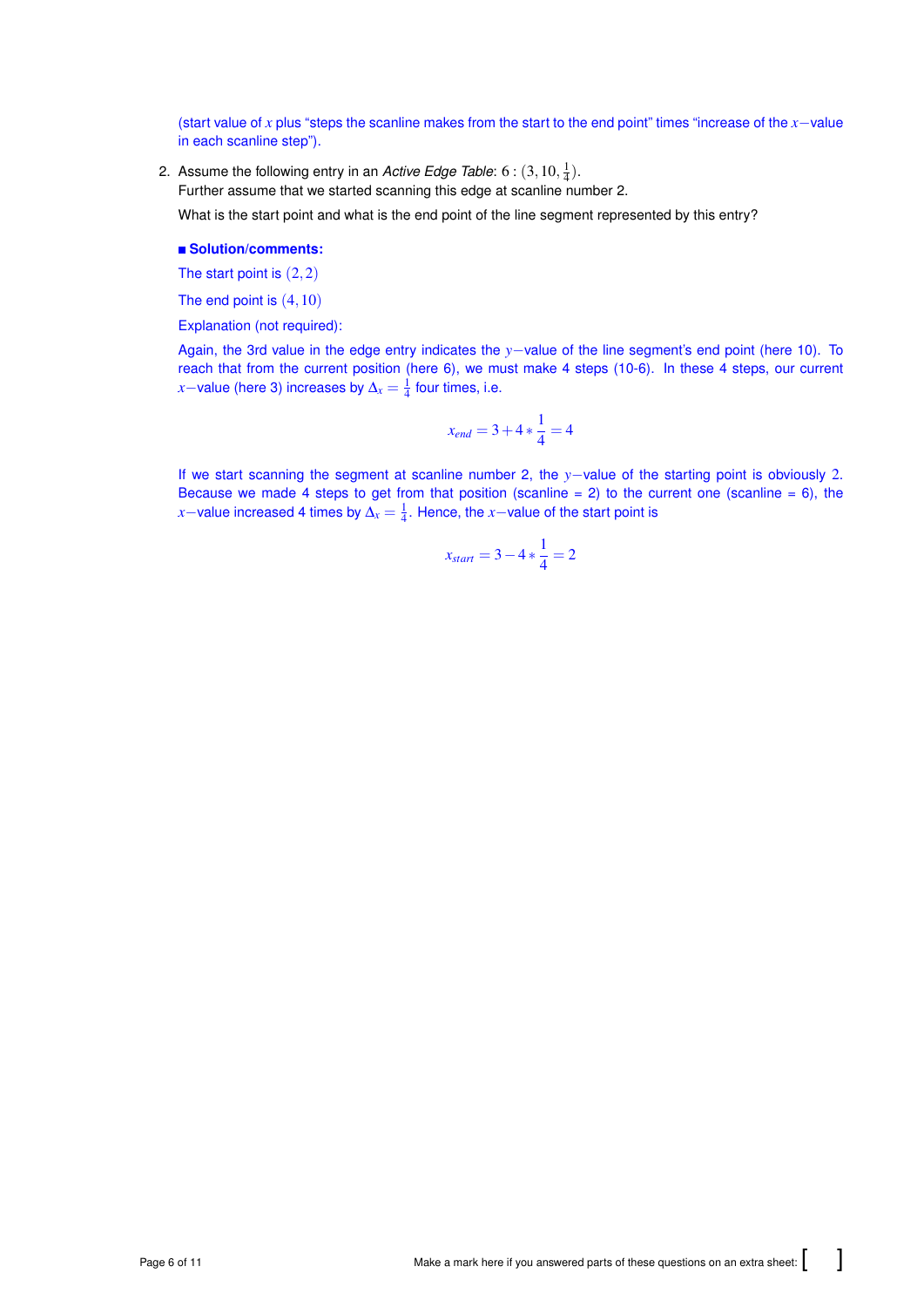(start value of *x* plus "steps the scanline makes from the start to the end point" times "increase of the *x*−value in each scanline step").

2. Assume the following entry in an *Active Edge Table*:  $6$  :  $(3, 10, \frac{1}{4})$ .

Further assume that we started scanning this edge at scanline number 2.

What is the start point and what is the end point of the line segment represented by this entry?

### **Solution/comments:**

The start point is  $(2,2)$ 

The end point is  $(4,10)$ 

Explanation (not required):

Again, the 3rd value in the edge entry indicates the *y*−value of the line segment's end point (here 10). To reach that from the current position (here 6), we must make 4 steps (10-6). In these 4 steps, our current *x*−value (here 3) increases by  $\Delta_x = \frac{1}{4}$  four times, i.e.

$$
x_{end} = 3 + 4 * \frac{1}{4} = 4
$$

If we start scanning the segment at scanline number 2, the *y*−value of the starting point is obviously 2. Because we made 4 steps to get from that position (scanline  $= 2$ ) to the current one (scanline  $= 6$ ), the *x*−value increased 4 times by  $\Delta_x = \frac{1}{4}$ . Hence, the *x*−value of the start point is

$$
x_{start} = 3 - 4 * \frac{1}{4} = 2
$$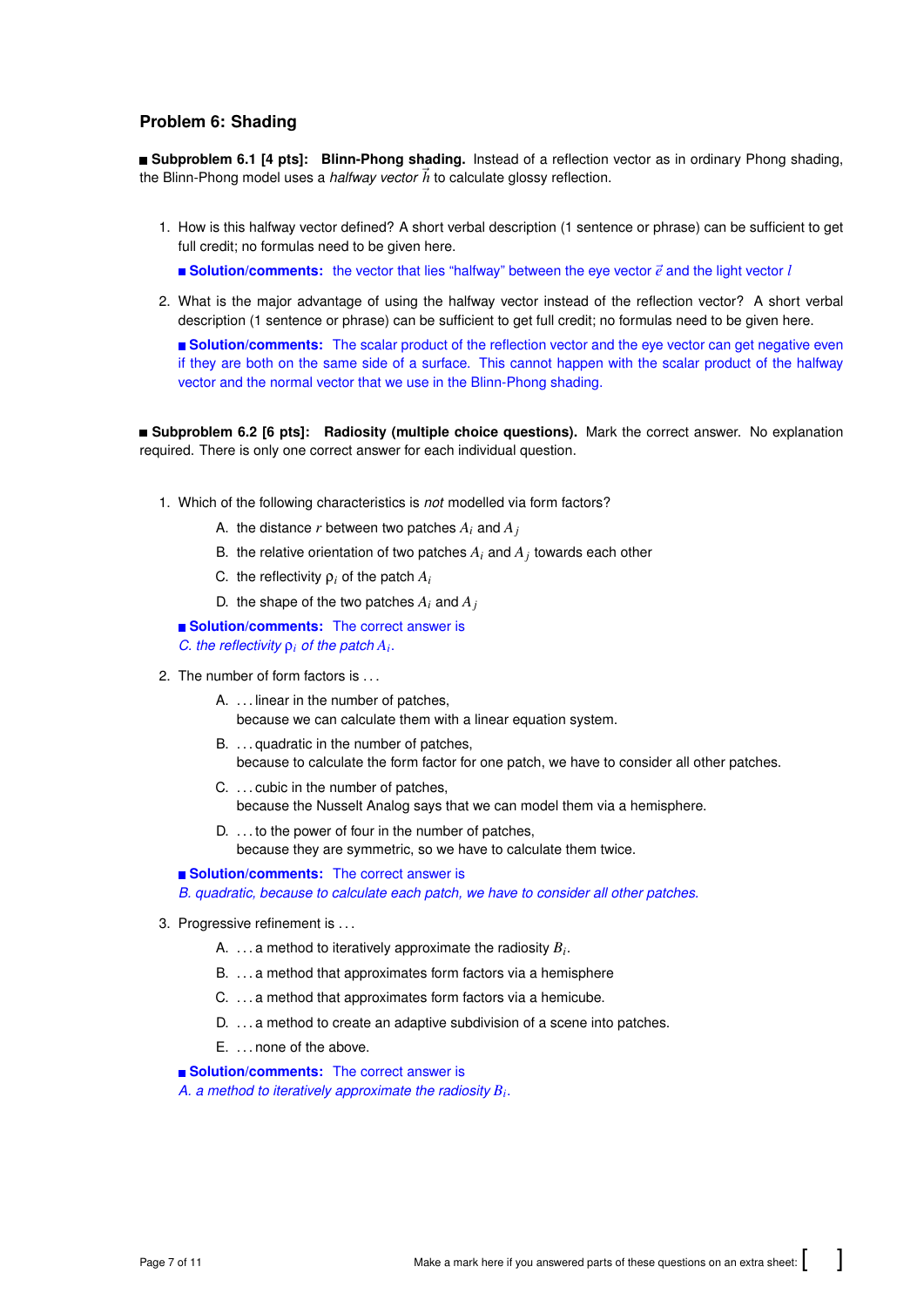# **Problem 6: Shading**

**Subproblem 6.1 [4 pts]: Blinn-Phong shading.** Instead of a reflection vector as in ordinary Phong shading, the Blinn-Phong model uses a *halfway vector*  $\vec{h}$  to calculate glossy reflection.

1. How is this halfway vector defined? A short verbal description (1 sentence or phrase) can be sufficient to get full credit; no formulas need to be given here.

**Solution/comments:** the vector that lies "halfway" between the eye vector  $\vec{e}$  and the light vector  $l$ 

2. What is the major advantage of using the halfway vector instead of the reflection vector? A short verbal description (1 sentence or phrase) can be sufficient to get full credit; no formulas need to be given here.

**Solution/comments:** The scalar product of the reflection vector and the eye vector can get negative even if they are both on the same side of a surface. This cannot happen with the scalar product of the halfway vector and the normal vector that we use in the Blinn-Phong shading.

**Subproblem 6.2 [6 pts]: Radiosity (multiple choice questions).** Mark the correct answer. No explanation required. There is only one correct answer for each individual question.

- 1. Which of the following characteristics is *not* modelled via form factors?
	- A. the distance *r* between two patches  $A_i$  and  $A_j$
	- B. the relative orientation of two patches  $A_i$  and  $A_j$  towards each other
	- C. the reflectivity  $\rho_i$  of the patch  $A_i$
	- D. the shape of the two patches  $A_i$  and  $A_j$

**Solution/comments:** The correct answer is *C. the reflectivity*  $\rho_i$  *of the patch*  $A_i$ .

- 2. The number of form factors is . . .
	- A. ... linear in the number of patches. because we can calculate them with a linear equation system.
	- B. . . . quadratic in the number of patches, because to calculate the form factor for one patch, we have to consider all other patches.
	- C. . . . cubic in the number of patches, because the Nusselt Analog says that we can model them via a hemisphere.
	- D. ... to the power of four in the number of patches, because they are symmetric, so we have to calculate them twice.

#### **Solution/comments:** The correct answer is

*B. quadratic, because to calculate each patch, we have to consider all other patches.*

- 3. Progressive refinement is . . .
	- A.  $\dots$  a method to iteratively approximate the radiosity  $B_i$ .
	- B. ... a method that approximates form factors via a hemisphere
	- C. . . . a method that approximates form factors via a hemicube.
	- D. ... a method to create an adaptive subdivision of a scene into patches.
	- E. . . . none of the above.

**Solution/comments:** The correct answer is

*A. a method to iteratively approximate the radiosity B<sup>i</sup>* .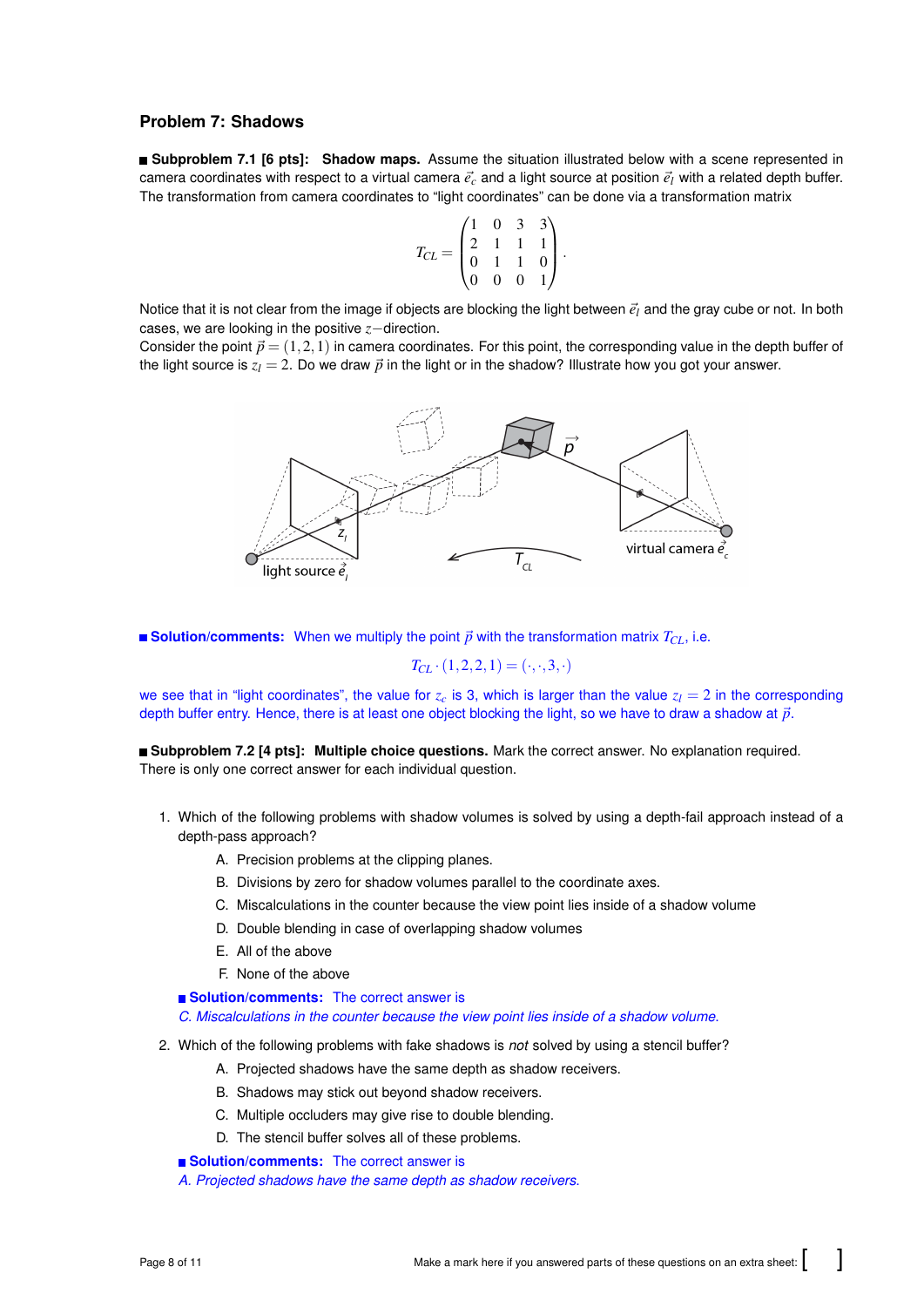# **Problem 7: Shadows**

**Subproblem 7.1 [6 pts]: Shadow maps.** Assume the situation illustrated below with a scene represented in camera coordinates with respect to a virtual camera  $\vec{e}_c$  and a light source at position  $\vec{e}_l$  with a related depth buffer. The transformation from camera coordinates to "light coordinates" can be done via a transformation matrix

$$
T_{CL} = \begin{pmatrix} 1 & 0 & 3 & 3 \\ 2 & 1 & 1 & 1 \\ 0 & 1 & 1 & 0 \\ 0 & 0 & 0 & 1 \end{pmatrix}.
$$

Notice that it is not clear from the image if objects are blocking the light between  $\vec{e}_l$  and the gray cube or not. In both cases, we are looking in the positive *z*−direction.

Consider the point  $\vec{p} = (1,2,1)$  in camera coordinates. For this point, the corresponding value in the depth buffer of the light source is  $z_l = 2$ . Do we draw  $\vec{p}$  in the light or in the shadow? Illustrate how you got your answer.



**Solution/comments:** When we multiply the point  $\vec{p}$  with the transformation matrix  $T_{CL}$ , i.e.

$$
T_{CL} \cdot (1,2,2,1) = (\cdot,\cdot,3,\cdot)
$$

we see that in "light coordinates", the value for  $z_c$  is 3, which is larger than the value  $z_l = 2$  in the corresponding depth buffer entry. Hence, there is at least one object blocking the light, so we have to draw a shadow at  $\vec{p}$ .

**Subproblem 7.2 [4 pts]: Multiple choice questions.** Mark the correct answer. No explanation required. There is only one correct answer for each individual question.

- 1. Which of the following problems with shadow volumes is solved by using a depth-fail approach instead of a depth-pass approach?
	- A. Precision problems at the clipping planes.
	- B. Divisions by zero for shadow volumes parallel to the coordinate axes.
	- C. Miscalculations in the counter because the view point lies inside of a shadow volume
	- D. Double blending in case of overlapping shadow volumes
	- E. All of the above
	- F. None of the above

**Solution/comments:** The correct answer is *C. Miscalculations in the counter because the view point lies inside of a shadow volume*.

- 2. Which of the following problems with fake shadows is *not* solved by using a stencil buffer?
	- A. Projected shadows have the same depth as shadow receivers.
	- B. Shadows may stick out beyond shadow receivers.
	- C. Multiple occluders may give rise to double blending.
	- D. The stencil buffer solves all of these problems.
	- **Solution/comments:** The correct answer is

*A. Projected shadows have the same depth as shadow receivers*.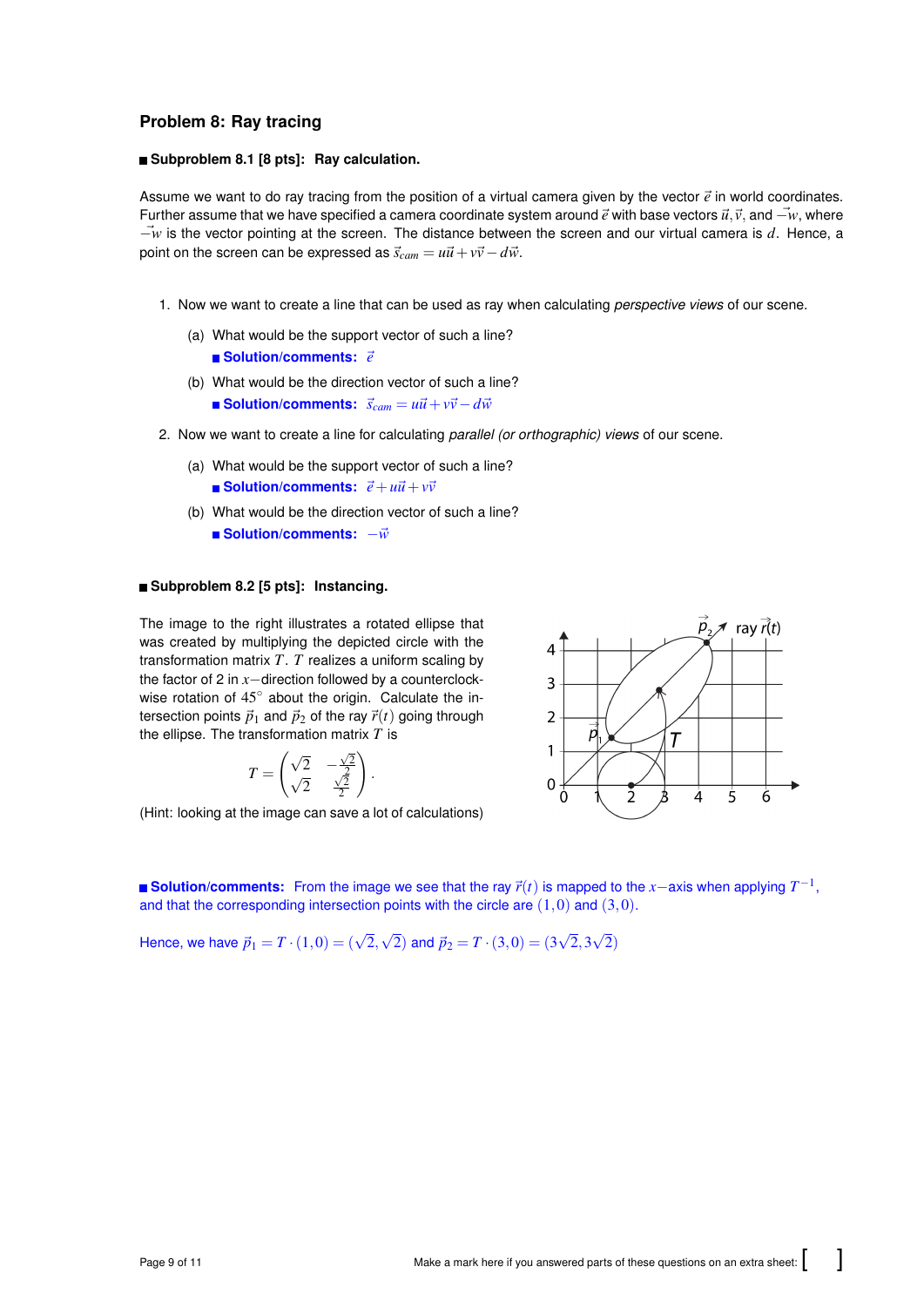# **Problem 8: Ray tracing**

#### **Subproblem 8.1 [8 pts]: Ray calculation.**

Assume we want to do ray tracing from the position of a virtual camera given by the vector  $\vec{e}$  in world coordinates. Further assume that we have specified a camera coordinate system around  $\vec{e}$  with base vectors  $\vec{u}, \vec{v}$ , and  $-\vec{w}$ , where −~*w* is the vector pointing at the screen. The distance between the screen and our virtual camera is *d*. Hence, a point on the screen can be expressed as  $\vec{s}_{cam} = u\vec{u} + v\vec{v} - d\vec{w}$ .

- 1. Now we want to create a line that can be used as ray when calculating *perspective views* of our scene.
	- (a) What would be the support vector of such a line? **Solution/comments:** ~*e*
	- (b) What would be the direction vector of such a line? ■ Solution/comments:  $\vec{s}_{cam} = u\vec{u} + v\vec{v} - d\vec{w}$
- 2. Now we want to create a line for calculating *parallel (or orthographic) views* of our scene.
	- (a) What would be the support vector of such a line?  $\blacksquare$  **Solution/comments:**  $\vec{e} + u\vec{u} + v\vec{v}$
	- (b) What would be the direction vector of such a line? ■ Solution/comments:  $-\vec{w}$

#### **Subproblem 8.2 [5 pts]: Instancing.**

The image to the right illustrates a rotated ellipse that was created by multiplying the depicted circle with the transformation matrix *T*. *T* realizes a uniform scaling by the factor of 2 in *x*−direction followed by a counterclockwise rotation of 45° about the origin. Calculate the intersection points  $\vec{p}_1$  and  $\vec{p}_2$  of the ray  $\vec{r}(t)$  going through the ellipse. The transformation matrix *T* is

$$
T = \begin{pmatrix} \sqrt{2} & -\frac{\sqrt{2}}{2} \\ \sqrt{2} & \frac{\sqrt{2}}{2} \end{pmatrix}
$$

(Hint: looking at the image can save a lot of calculations)



**Solution/comments:** From the image we see that the ray  $\vec{r}(t)$  is mapped to the *x*−axis when applying  $T^{-1}$ , and that the corresponding intersection points with the circle are  $(1,0)$  and  $(3,0)$ .

Hence, we have  $\vec{p}_1 = T \cdot (1,0) = (\sqrt{2},$ √  $\vec{p}_2 = T \cdot (3,0) = (3,0)$ √ 2,3 √ 2)

.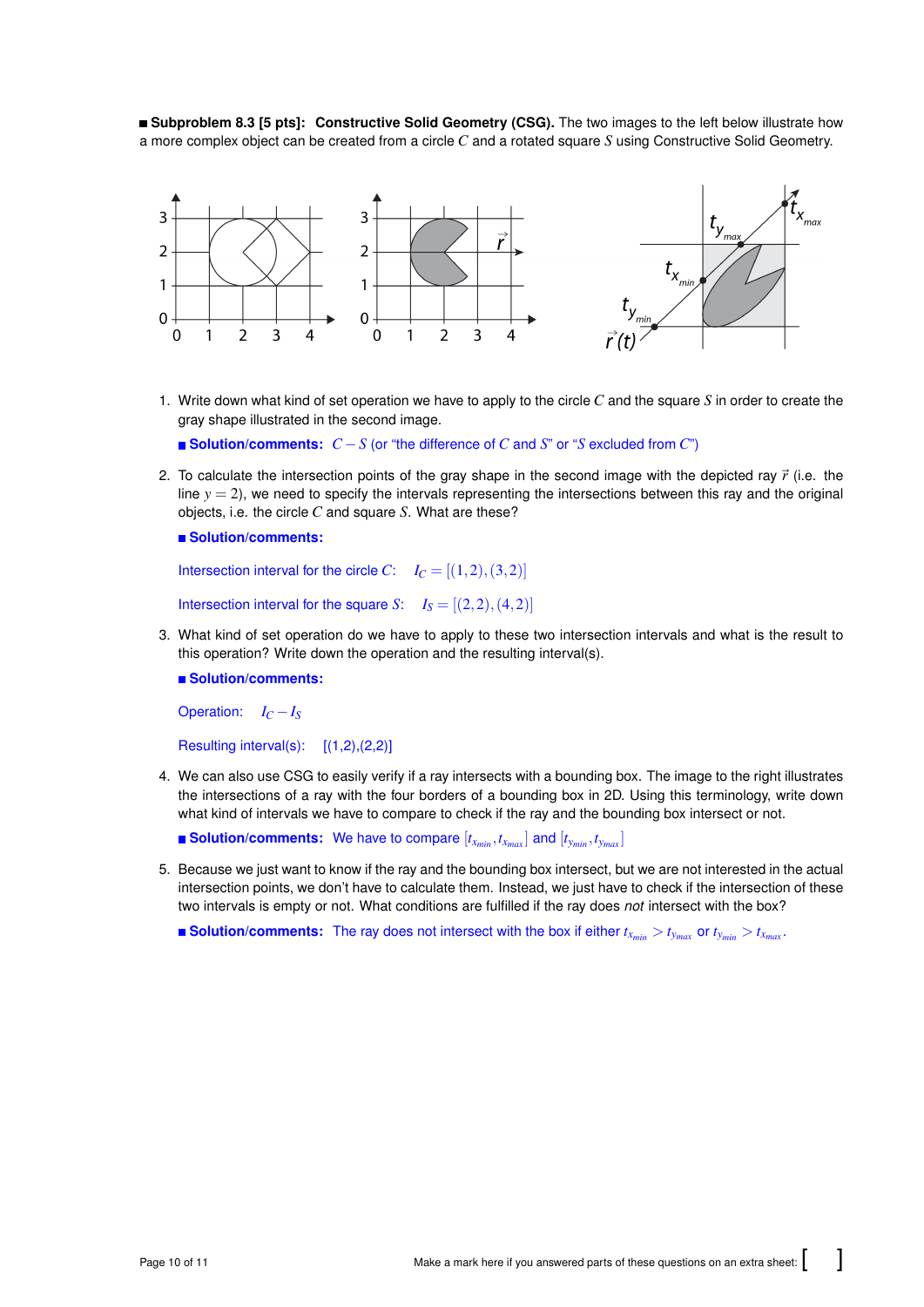**Subproblem 8.3 [5 pts]: Constructive Solid Geometry (CSG).** The two images to the left below illustrate how a more complex object can be created from a circle *C* and a rotated square *S* using Constructive Solid Geometry.



1. Write down what kind of set operation we have to apply to the circle *C* and the square *S* in order to create the gray shape illustrated in the second image.

**Solution/comments:** *C* −*S* (or "the difference of *C* and *S*" or "*S* excluded from *C*")

2. To calculate the intersection points of the gray shape in the second image with the depicted ray  $\vec{r}$  (i.e. the line  $y = 2$ ), we need to specify the intervals representing the intersections between this ray and the original objects, i.e. the circle *C* and square *S*. What are these?

**Solution/comments:**

```
Intersection interval for the circle C: I_C = [(1,2),(3,2)]
```
Intersection interval for the square *S*:  $I_S = [(2,2),(4,2)]$ 

3. What kind of set operation do we have to apply to these two intersection intervals and what is the result to this operation? Write down the operation and the resulting interval(s).

**Solution/comments:**

Operation:  $I_C - I_S$ 

Resulting interval(s):  $[(1,2),(2,2)]$ 

4. We can also use CSG to easily verify if a ray intersects with a bounding box. The image to the right illustrates the intersections of a ray with the four borders of a bounding box in 2D. Using this terminology, write down what kind of intervals we have to compare to check if the ray and the bounding box intersect or not.

**Example 1** Solution/comments: We have to compare  $[t_{x_{min}}, t_{x_{max}}]$  and  $[t_{y_{min}}, t_{y_{max}}]$ 

5. Because we just want to know if the ray and the bounding box intersect, but we are not interested in the actual intersection points, we don't have to calculate them. Instead, we just have to check if the intersection of these two intervals is empty or not. What conditions are fulfilled if the ray does *not* intersect with the box?

**Solution/comments:** The ray does not intersect with the box if either  $t_{x_{min}} > t_{y_{max}}$  or  $t_{y_{min}} > t_{x_{max}}$ .